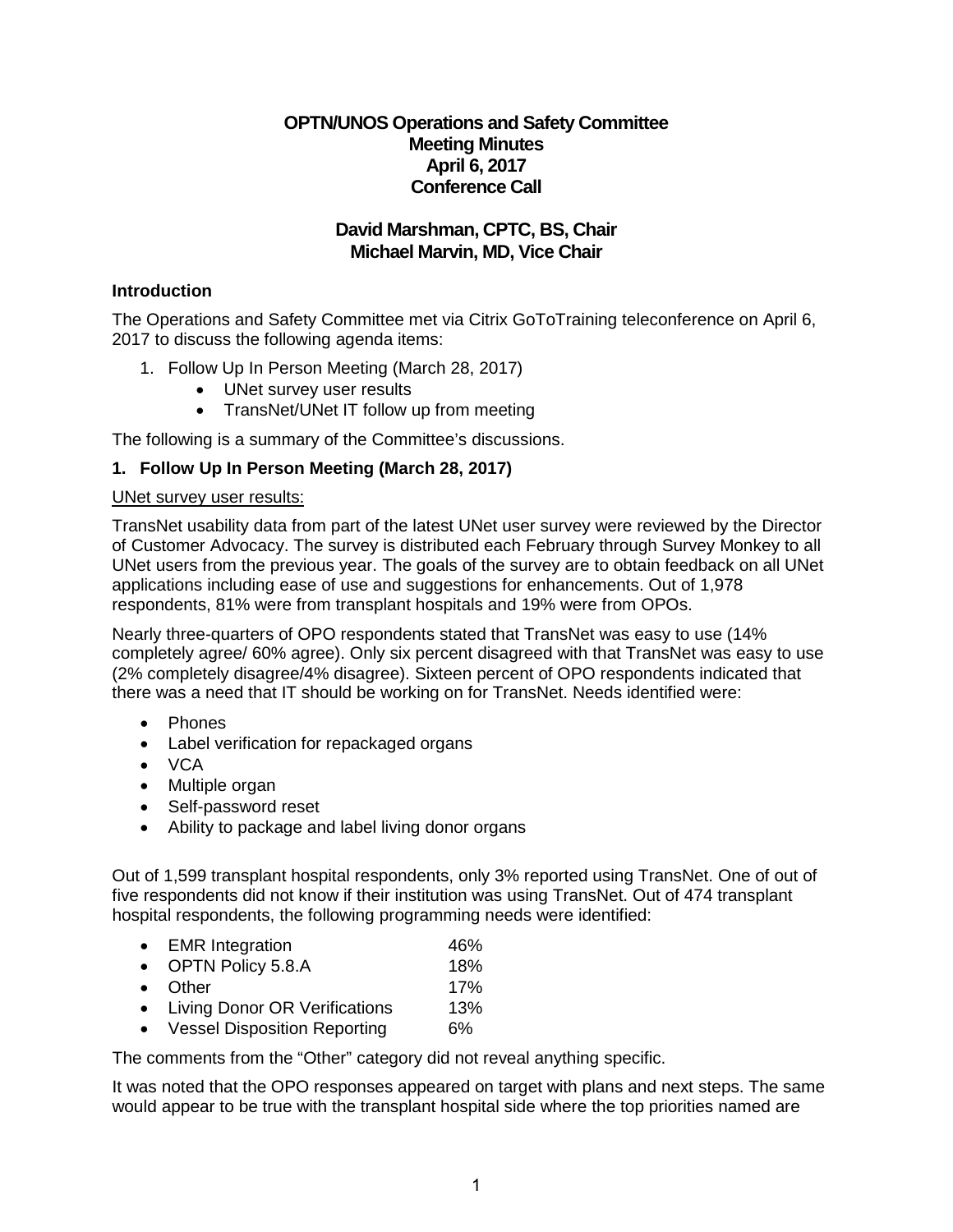# **OPTN/UNOS Operations and Safety Committee Meeting Minutes April 6, 2017 Conference Call**

# **David Marshman, CPTC, BS, Chair Michael Marvin, MD, Vice Chair**

## **Introduction**

The Operations and Safety Committee met via Citrix GoToTraining teleconference on April 6, 2017 to discuss the following agenda items:

- 1. Follow Up In Person Meeting (March 28, 2017)
	- UNet survey user results
	- TransNet/UNet IT follow up from meeting

The following is a summary of the Committee's discussions.

# **1. Follow Up In Person Meeting (March 28, 2017)**

#### UNet survey user results:

TransNet usability data from part of the latest UNet user survey were reviewed by the Director of Customer Advocacy. The survey is distributed each February through Survey Monkey to all UNet users from the previous year. The goals of the survey are to obtain feedback on all UNet applications including ease of use and suggestions for enhancements. Out of 1,978 respondents, 81% were from transplant hospitals and 19% were from OPOs.

Nearly three-quarters of OPO respondents stated that TransNet was easy to use (14% completely agree/ 60% agree). Only six percent disagreed with that TransNet was easy to use (2% completely disagree/4% disagree). Sixteen percent of OPO respondents indicated that there was a need that IT should be working on for TransNet. Needs identified were:

- Phones
- Label verification for repackaged organs
- VCA
- Multiple organ
- Self-password reset
- Ability to package and label living donor organs

Out of 1,599 transplant hospital respondents, only 3% reported using TransNet. One of out of five respondents did not know if their institution was using TransNet. Out of 474 transplant hospital respondents, the following programming needs were identified:

- EMR Integration 46%
- OPTN Policy 5.8.A 18%
- Other 17%
- Living Donor OR Verifications 13%
- Vessel Disposition Reporting 6%

The comments from the "Other" category did not reveal anything specific.

It was noted that the OPO responses appeared on target with plans and next steps. The same would appear to be true with the transplant hospital side where the top priorities named are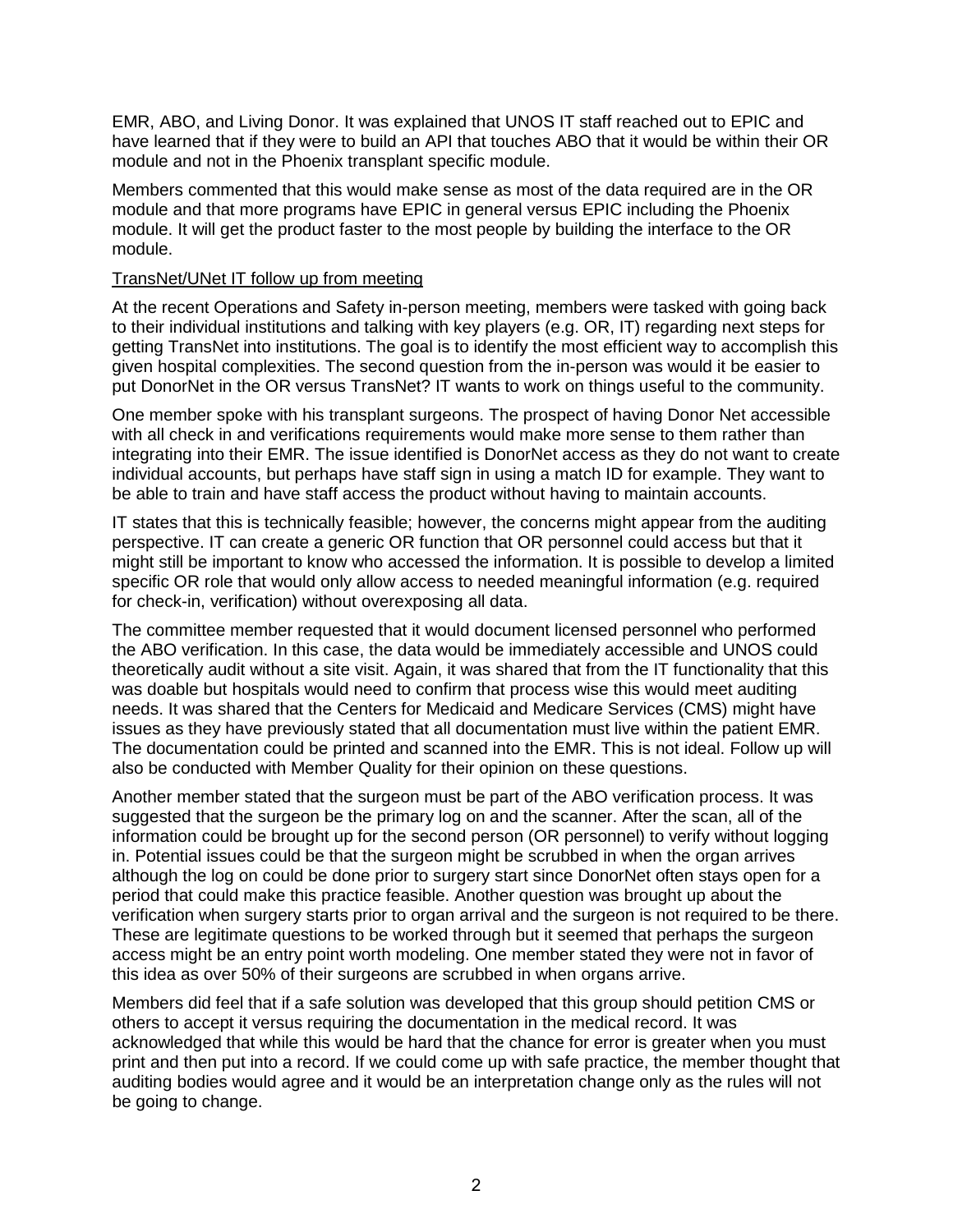EMR, ABO, and Living Donor. It was explained that UNOS IT staff reached out to EPIC and have learned that if they were to build an API that touches ABO that it would be within their OR module and not in the Phoenix transplant specific module.

Members commented that this would make sense as most of the data required are in the OR module and that more programs have EPIC in general versus EPIC including the Phoenix module. It will get the product faster to the most people by building the interface to the OR module.

#### TransNet/UNet IT follow up from meeting

At the recent Operations and Safety in-person meeting, members were tasked with going back to their individual institutions and talking with key players (e.g. OR, IT) regarding next steps for getting TransNet into institutions. The goal is to identify the most efficient way to accomplish this given hospital complexities. The second question from the in-person was would it be easier to put DonorNet in the OR versus TransNet? IT wants to work on things useful to the community.

One member spoke with his transplant surgeons. The prospect of having Donor Net accessible with all check in and verifications requirements would make more sense to them rather than integrating into their EMR. The issue identified is DonorNet access as they do not want to create individual accounts, but perhaps have staff sign in using a match ID for example. They want to be able to train and have staff access the product without having to maintain accounts.

IT states that this is technically feasible; however, the concerns might appear from the auditing perspective. IT can create a generic OR function that OR personnel could access but that it might still be important to know who accessed the information. It is possible to develop a limited specific OR role that would only allow access to needed meaningful information (e.g. required for check-in, verification) without overexposing all data.

The committee member requested that it would document licensed personnel who performed the ABO verification. In this case, the data would be immediately accessible and UNOS could theoretically audit without a site visit. Again, it was shared that from the IT functionality that this was doable but hospitals would need to confirm that process wise this would meet auditing needs. It was shared that the Centers for Medicaid and Medicare Services (CMS) might have issues as they have previously stated that all documentation must live within the patient EMR. The documentation could be printed and scanned into the EMR. This is not ideal. Follow up will also be conducted with Member Quality for their opinion on these questions.

Another member stated that the surgeon must be part of the ABO verification process. It was suggested that the surgeon be the primary log on and the scanner. After the scan, all of the information could be brought up for the second person (OR personnel) to verify without logging in. Potential issues could be that the surgeon might be scrubbed in when the organ arrives although the log on could be done prior to surgery start since DonorNet often stays open for a period that could make this practice feasible. Another question was brought up about the verification when surgery starts prior to organ arrival and the surgeon is not required to be there. These are legitimate questions to be worked through but it seemed that perhaps the surgeon access might be an entry point worth modeling. One member stated they were not in favor of this idea as over 50% of their surgeons are scrubbed in when organs arrive.

Members did feel that if a safe solution was developed that this group should petition CMS or others to accept it versus requiring the documentation in the medical record. It was acknowledged that while this would be hard that the chance for error is greater when you must print and then put into a record. If we could come up with safe practice, the member thought that auditing bodies would agree and it would be an interpretation change only as the rules will not be going to change.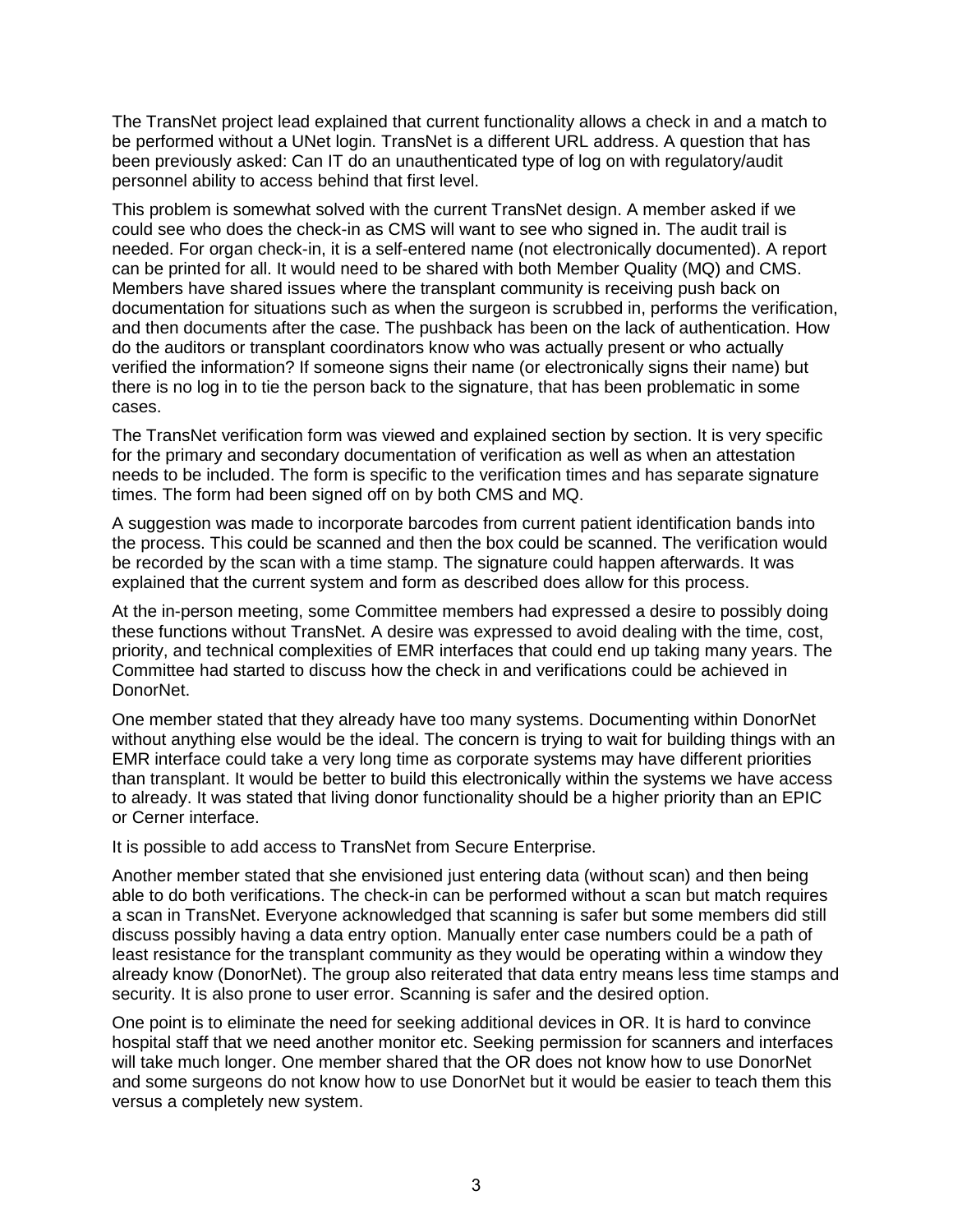The TransNet project lead explained that current functionality allows a check in and a match to be performed without a UNet login. TransNet is a different URL address. A question that has been previously asked: Can IT do an unauthenticated type of log on with regulatory/audit personnel ability to access behind that first level.

This problem is somewhat solved with the current TransNet design. A member asked if we could see who does the check-in as CMS will want to see who signed in. The audit trail is needed. For organ check-in, it is a self-entered name (not electronically documented). A report can be printed for all. It would need to be shared with both Member Quality (MQ) and CMS. Members have shared issues where the transplant community is receiving push back on documentation for situations such as when the surgeon is scrubbed in, performs the verification, and then documents after the case. The pushback has been on the lack of authentication. How do the auditors or transplant coordinators know who was actually present or who actually verified the information? If someone signs their name (or electronically signs their name) but there is no log in to tie the person back to the signature, that has been problematic in some cases.

The TransNet verification form was viewed and explained section by section. It is very specific for the primary and secondary documentation of verification as well as when an attestation needs to be included. The form is specific to the verification times and has separate signature times. The form had been signed off on by both CMS and MQ.

A suggestion was made to incorporate barcodes from current patient identification bands into the process. This could be scanned and then the box could be scanned. The verification would be recorded by the scan with a time stamp. The signature could happen afterwards. It was explained that the current system and form as described does allow for this process.

At the in-person meeting, some Committee members had expressed a desire to possibly doing these functions without TransNet. A desire was expressed to avoid dealing with the time, cost, priority, and technical complexities of EMR interfaces that could end up taking many years. The Committee had started to discuss how the check in and verifications could be achieved in DonorNet.

One member stated that they already have too many systems. Documenting within DonorNet without anything else would be the ideal. The concern is trying to wait for building things with an EMR interface could take a very long time as corporate systems may have different priorities than transplant. It would be better to build this electronically within the systems we have access to already. It was stated that living donor functionality should be a higher priority than an EPIC or Cerner interface.

It is possible to add access to TransNet from Secure Enterprise.

Another member stated that she envisioned just entering data (without scan) and then being able to do both verifications. The check-in can be performed without a scan but match requires a scan in TransNet. Everyone acknowledged that scanning is safer but some members did still discuss possibly having a data entry option. Manually enter case numbers could be a path of least resistance for the transplant community as they would be operating within a window they already know (DonorNet). The group also reiterated that data entry means less time stamps and security. It is also prone to user error. Scanning is safer and the desired option.

One point is to eliminate the need for seeking additional devices in OR. It is hard to convince hospital staff that we need another monitor etc. Seeking permission for scanners and interfaces will take much longer. One member shared that the OR does not know how to use DonorNet and some surgeons do not know how to use DonorNet but it would be easier to teach them this versus a completely new system.